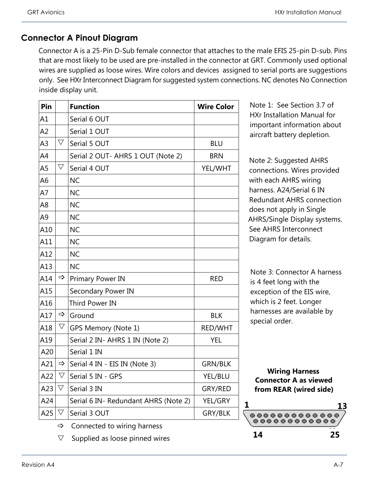## **Connector A Pinout Diagram**

Connector A is a 25-Pin D-Sub female connector that attaches to the male EFIS 25-pin D-sub. Pins that are most likely to be used are pre-installed in the connector at GRT. Commonly used optional wires are supplied as loose wires. Wire colors and devices assigned to serial ports are suggestions only. See HXr Interconnect Diagram for suggested system connections. NC denotes No Connection inside display unit.

| Pin            |                    | <b>Function</b>                      | <b>Wire Color</b> |
|----------------|--------------------|--------------------------------------|-------------------|
| A1             |                    | Serial 6 OUT                         |                   |
| A <sub>2</sub> |                    | Serial 1 OUT                         |                   |
| A <sub>3</sub> | $\bigtriangledown$ | Serial 5 OUT                         | <b>BLU</b>        |
| A4             |                    | Serial 2 OUT- AHRS 1 OUT (Note 2)    | <b>BRN</b>        |
| A5             | $\triangledown$    | Serial 4 OUT                         | YEL/WHT           |
| A <sub>6</sub> |                    | <b>NC</b>                            |                   |
| A7             |                    | <b>NC</b>                            |                   |
| A8             |                    | <b>NC</b>                            |                   |
| A <sub>9</sub> |                    | <b>NC</b>                            |                   |
| A10            |                    | <b>NC</b>                            |                   |
| A11            |                    | <b>NC</b>                            |                   |
| A12            |                    | <b>NC</b>                            |                   |
| A13            |                    | <b>NC</b>                            |                   |
| A14            | ⇨                  | Primary Power IN                     | <b>RED</b>        |
| A15            |                    | Secondary Power IN                   |                   |
| A16            |                    | <b>Third Power IN</b>                |                   |
| A17            | ⇨                  | Ground                               | <b>BLK</b>        |
| A18            | $\bigtriangledown$ | GPS Memory (Note 1)                  | RED/WHT           |
| A19            |                    | Serial 2 IN- AHRS 1 IN (Note 2)      | <b>YEL</b>        |
| A20            |                    | Serial 1 IN                          |                   |
| A21            | ⇨                  | Serial 4 IN - EIS IN (Note 3)        | <b>GRN/BLK</b>    |
| A22            | $\bigtriangledown$ | Serial 5 IN - GPS                    | YEL/BLU           |
| A23            | $\bigtriangledown$ | Serial 3 IN                          | GRY/RED           |
| A24            |                    | Serial 6 IN- Redundant AHRS (Note 2) | YEL/GRY           |
| A25            | $\bigtriangledown$ | Serial 3 OUT                         | GRY/BLK           |

Note 1: See Section 3.7 of HXr Installation Manual for important information about aircraft battery depletion.

Note 2: Suggested AHRS connections. Wires provided with each AHRS wiring harness. A24/Serial 6 IN Redundant AHRS connection does not apply in Single AHRS/Single Display systems. See AHRS Interconnect Diagram for details.

Note 3: Connector A harness is 4 feet long with the exception of the EIS wire, which is 2 feet. Longer harnesses are available by special order.

**Wiring Harness Connector A as viewed from REAR (wired side)**



- $\Rightarrow$  Connected to wiring harness
- $\nabla$  Supplied as loose pinned wires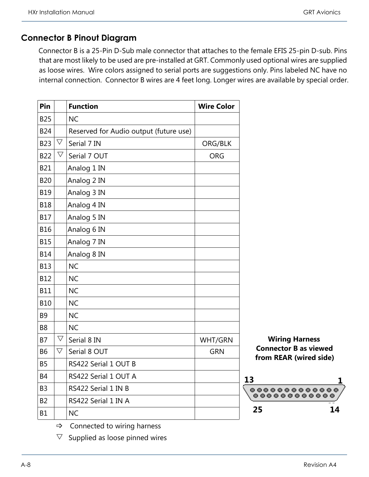#### **Connector B Pinout Diagram**

Connector B is a 25-Pin D-Sub male connector that attaches to the female EFIS 25-pin D-sub. Pins that are most likely to be used are pre-installed at GRT. Commonly used optional wires are supplied as loose wires. Wire colors assigned to serial ports are suggestions only. Pins labeled NC have no internal connection. Connector B wires are 4 feet long. Longer wires are available by special order.

| Pin            |                    | <b>Function</b>                        | <b>Wire Color</b> |                          |
|----------------|--------------------|----------------------------------------|-------------------|--------------------------|
| <b>B25</b>     |                    | <b>NC</b>                              |                   |                          |
| <b>B24</b>     |                    | Reserved for Audio output (future use) |                   |                          |
| <b>B23</b>     | $\bigtriangledown$ | Serial 7 IN                            | ORG/BLK           |                          |
| <b>B22</b>     | $\bigtriangledown$ | Serial 7 OUT                           | <b>ORG</b>        |                          |
| <b>B21</b>     |                    | Analog 1 IN                            |                   |                          |
| <b>B20</b>     |                    | Analog 2 IN                            |                   |                          |
| <b>B19</b>     |                    | Analog 3 IN                            |                   |                          |
| <b>B18</b>     |                    | Analog 4 IN                            |                   |                          |
| <b>B17</b>     |                    | Analog 5 IN                            |                   |                          |
| <b>B16</b>     |                    | Analog 6 IN                            |                   |                          |
| <b>B15</b>     |                    | Analog 7 IN                            |                   |                          |
| <b>B14</b>     |                    | Analog 8 IN                            |                   |                          |
| <b>B13</b>     |                    | <b>NC</b>                              |                   |                          |
| <b>B12</b>     |                    | <b>NC</b>                              |                   |                          |
| <b>B11</b>     |                    | <b>NC</b>                              |                   |                          |
| <b>B10</b>     |                    | <b>NC</b>                              |                   |                          |
| <b>B9</b>      |                    | <b>NC</b>                              |                   |                          |
| B <sub>8</sub> |                    | <b>NC</b>                              |                   |                          |
| <b>B7</b>      | $\bigtriangledown$ | Serial 8 IN                            | WHT/GRN           |                          |
| <b>B6</b>      | $\bigtriangledown$ | Serial 8 OUT                           | <b>GRN</b>        |                          |
| <b>B5</b>      |                    | RS422 Serial 1 OUT B                   |                   |                          |
| <b>B4</b>      |                    | RS422 Serial 1 OUT A                   |                   | 13                       |
| B3             |                    | RS422 Serial 1 IN B                    |                   | $\mathbf{O}(\mathbf{O})$ |
| B2             |                    | RS422 Serial 1 IN A                    |                   | $\bullet$ $\bullet$      |
| <b>B1</b>      |                    | <b>NC</b>                              |                   | 25                       |

**Wiring Harness Connector B as viewed from REAR (wired side)**



 $\Rightarrow$  Connected to wiring harness

 $\nabla$  Supplied as loose pinned wires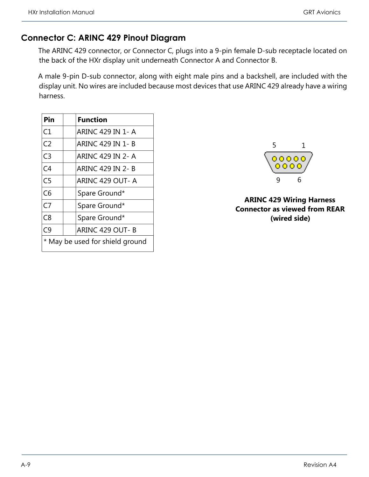### **Connector C: ARINC 429 Pinout Diagram**

The ARINC 429 connector, or Connector C, plugs into a 9-pin female D-sub receptacle located on the back of the HXr display unit underneath Connector A and Connector B.

A male 9-pin D-sub connector, along with eight male pins and a backshell, are included with the display unit. No wires are included because most devices that use ARINC 429 already have a wiring harness.

| Pin                             | <b>Function</b>         |  |
|---------------------------------|-------------------------|--|
| C1                              | ARINC 429 IN 1- A       |  |
| C <sub>2</sub>                  | ARINC 429 IN 1- B       |  |
| C <sub>3</sub>                  | ARINC 429 IN 2- A       |  |
| C <sub>4</sub>                  | <b>ARINC 429 IN 2-B</b> |  |
| C <sub>5</sub>                  | ARINC 429 OUT-A         |  |
| C6                              | Spare Ground*           |  |
| C7                              | Spare Ground*           |  |
| C <sub>8</sub>                  | Spare Ground*           |  |
| C9                              | ARINC 429 OUT- B        |  |
| * May be used for shield ground |                         |  |



**ARINC 429 Wiring Harness Connector as viewed from REAR (wired side)**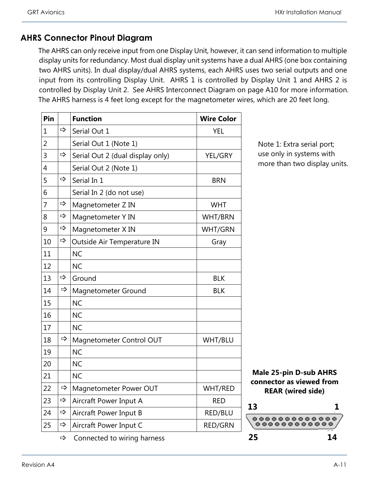### **AHRS Connector Pinout Diagram**

The AHRS can only receive input from one Display Unit, however, it can send information to multiple display units for redundancy. Most dual display unit systems have a dual AHRS (one box containing two AHRS units). In dual display/dual AHRS systems, each AHRS uses two serial outputs and one input from its controlling Display Unit. AHRS 1 is controlled by Display Unit 1 and AHRS 2 is controlled by Display Unit 2. See AHRS Interconnect Diagram on page A10 for more information. The AHRS harness is 4 feet long except for the magnetometer wires, which are 20 feet long.

| Pin            |               | <b>Function</b>                  | <b>Wire Color</b> |
|----------------|---------------|----------------------------------|-------------------|
| 1              | ⇨             | Serial Out 1                     | <b>YEL</b>        |
| 2              |               | Serial Out 1 (Note 1)            |                   |
| 3              | ⇨             | Serial Out 2 (dual display only) | YEL/GRY           |
| $\overline{4}$ |               | Serial Out 2 (Note 1)            |                   |
| 5              | ⇨             | Serial In 1                      | <b>BRN</b>        |
| 6              |               | Serial In 2 (do not use)         |                   |
| 7              | ⇨             | Magnetometer Z IN                | <b>WHT</b>        |
| 8              | ⇨             | Magnetometer Y IN                | <b>WHT/BRN</b>    |
| 9              | $\Rightarrow$ | Magnetometer X IN                | WHT/GRN           |
| 10             | ⇨             | Outside Air Temperature IN       | Gray              |
| 11             |               | <b>NC</b>                        |                   |
| 12             |               | <b>NC</b>                        |                   |
| 13             | ⇨             | Ground                           | <b>BLK</b>        |
| 14             | ⇨             | Magnetometer Ground              | <b>BLK</b>        |
| 15             |               | <b>NC</b>                        |                   |
| 16             |               | <b>NC</b>                        |                   |
| 17             |               | <b>NC</b>                        |                   |
| 18             | ⇨             | Magnetometer Control OUT         | WHT/BLU           |
| 19             |               | <b>NC</b>                        |                   |
| 20             |               | <b>NC</b>                        |                   |
| 21             |               | <b>NC</b>                        |                   |
| 22             | ⇨             | Magnetometer Power OUT           | WHT/RED           |
| 23             | ⇨             | Aircraft Power Input A           | <b>RED</b>        |
| 24             | ⇨             | Aircraft Power Input B           | RED/BLU           |
| 25             | $\Rightarrow$ | Aircraft Power Input C           | <b>RED/GRN</b>    |
|                | ⇨             | Connected to wiring harness      |                   |

Note 1: Extra serial port; use only in systems with more than two display units.

**Male 25-pin D-sub AHRS connector as viewed from REAR (wired side)**